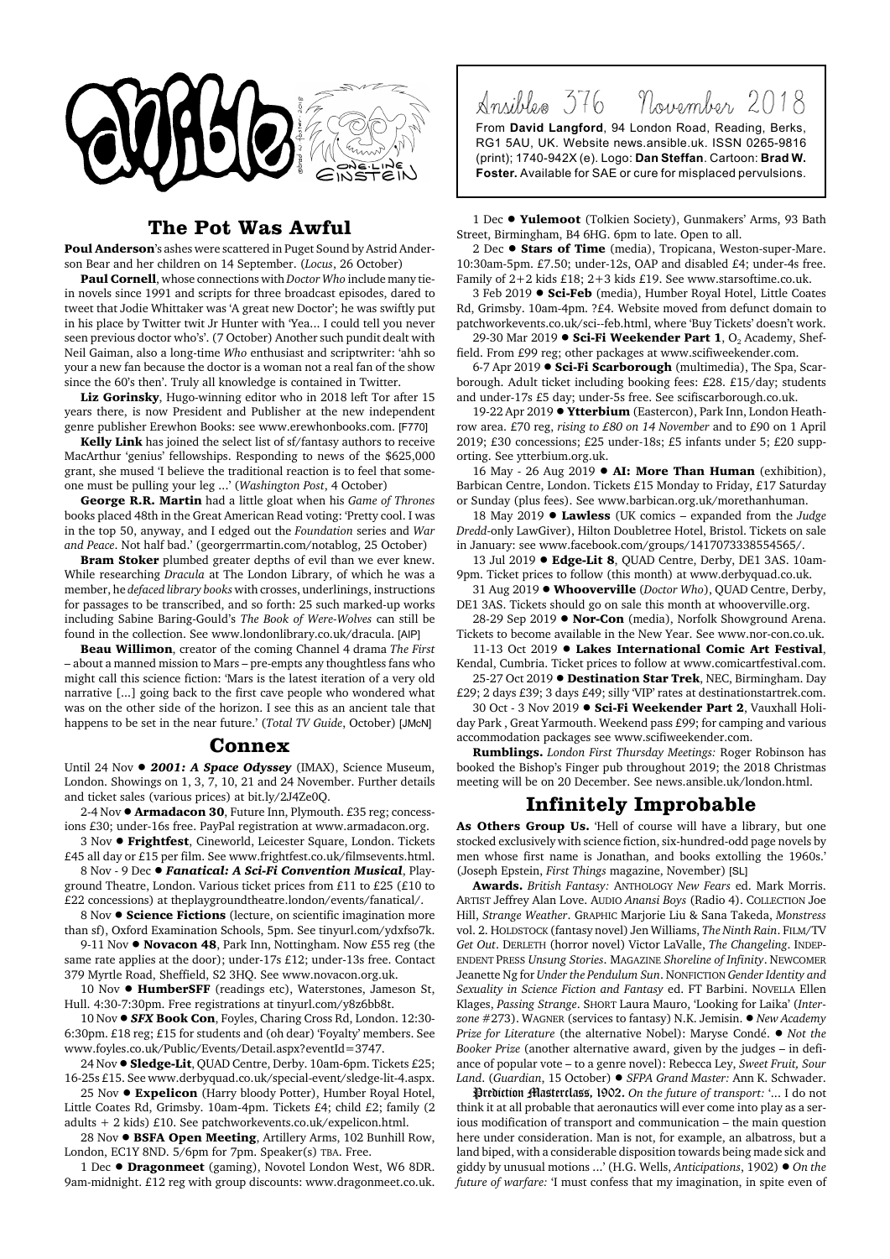

## **The Pot Was Awful**

**Poul Anderson**'s ashes were scattered in Puget Sound by Astrid Anderson Bear and her children on 14 September. (*Locus*, 26 October)

**Paul Cornell**, whose connections with *Doctor Who* include many tiein novels since 1991 and scripts for three broadcast episodes, dared to tweet that Jodie Whittaker was 'A great new Doctor'; he was swiftly put in his place by Twitter twit Jr Hunter with 'Yea... I could tell you never seen previous doctor who's'. (7 October) Another such pundit dealt with Neil Gaiman, also a long-time *Who* enthusiast and scriptwriter: 'ahh so your a new fan because the doctor is a woman not a real fan of the show since the 60's then'. Truly all knowledge is contained in Twitter.

**Liz Gorinsky**, Hugo-winning editor who in 2018 left Tor after 15 years there, is now President and Publisher at the new independent genre publisher Erewhon Books: see www.erewhonbooks.com. [F770]

**Kelly Link** has joined the select list of sf/fantasy authors to receive MacArthur 'genius' fellowships. Responding to news of the \$625,000 grant, she mused 'I believe the traditional reaction is to feel that someone must be pulling your leg ...' (*Washington Post*, 4 October)

**George R.R. Martin** had a little gloat when his *Game of Thrones* books placed 48th in the Great American Read voting: 'Pretty cool. I was in the top 50, anyway, and I edged out the *Foundation* series and *War and Peace*. Not half bad.' (georgerrmartin.com/notablog, 25 October)

**Bram Stoker** plumbed greater depths of evil than we ever knew. While researching *Dracula* at The London Library, of which he was a member, he *defaced library books* with crosses, underlinings, instructions for passages to be transcribed, and so forth: 25 such marked-up works including Sabine Baring-Gould's *The Book of Were-Wolves* can still be found in the collection. See www.londonlibrary.co.uk/dracula. [AIP]

**Beau Willimon**, creator of the coming Channel 4 drama *The First* – about a manned mission to Mars – pre-empts any thoughtless fans who might call this science fiction: 'Mars is the latest iteration of a very old narrative [...] going back to the first cave people who wondered what was on the other side of the horizon. I see this as an ancient tale that happens to be set in the near future.' (*Total TV Guide*, October) [JMcN]

## **Connex**

Until 24 Nov  $\bullet$  2001: A Space Odyssey (IMAX), Science Museum, London. Showings on 1, 3, 7, 10, 21 and 24 November. Further details and ticket sales (various prices) at bit.ly/2J4Ze0Q.

2-4 Nov ! **Armadacon 30**, Future Inn, Plymouth. £35 reg; concessions £30; under-16s free. PayPal registration at www.armadacon.org.

3 Nov ! **Frightfest**, Cineworld, Leicester Square, London. Tickets £45 all day or £15 per film. See www.frightfest.co.uk/filmsevents.html.

8 Nov - 9 Dec · Fanatical: A Sci-Fi Convention Musical, Playground Theatre, London. Various ticket prices from £11 to £25 (£10 to £22 concessions) at theplaygroundtheatre.london/events/fanatical/.

8 Nov  $\bullet$  **Science Fictions** (lecture, on scientific imagination more than sf), Oxford Examination Schools, 5pm. See tinyurl.com/ydxfso7k.

9-11 Nov  $\bullet$  **Novacon 48**, Park Inn, Nottingham. Now £55 reg (the same rate applies at the door); under-17s £12; under-13s free. Contact 379 Myrtle Road, Sheffield, S2 3HQ. See www.novacon.org.uk.

10 Nov  $\bullet$  HumberSFF (readings etc), Waterstones, Jameson St, Hull. 4:30-7:30pm. Free registrations at tinyurl.com/y8z6bb8t.

10 Nov ! *SFX* **Book Con**, Foyles, Charing Cross Rd, London. 12:30- 6:30pm. £18 reg; £15 for students and (oh dear) 'Foyalty' members. See www.foyles.co.uk/Public/Events/Detail.aspx?eventId=3747.

24 Nov ! **Sledge-Lit**, QUAD Centre, Derby. 10am-6pm. Tickets £25; 16-25s £15. See www.derbyquad.co.uk/special-event/sledge-lit-4.aspx.

25 Nov  $\bullet$  Expelicon (Harry bloody Potter), Humber Royal Hotel, Little Coates Rd, Grimsby. 10am-4pm. Tickets £4; child £2; family (2 adults + 2 kids) £10. See patchworkevents.co.uk/expelicon.html.

28 Nov ! **BSFA Open Meeting**, Artillery Arms, 102 Bunhill Row, London, EC1Y 8ND. 5/6pm for 7pm. Speaker(s) TBA. Free.

1 Dec  $\bullet$  **Dragonmeet** (gaming), Novotel London West, W6 8DR. 9am-midnight. £12 reg with group discounts: www.dragonmeet.co.uk. Ansibles 376 November 2018 From **David Langford**, 94 London Road, Reading, Berks, RG1 5AU, UK. Website news.ansible.uk. ISSN 0265-9816

(print); 1740-942X (e). Logo: **Dan Steffan**. Cartoon: **Brad W. Foster.** Available for SAE or cure for misplaced pervulsions.

1 Dec . Yulemoot (Tolkien Society), Gunmakers' Arms, 93 Bath Street, Birmingham, B4 6HG. 6pm to late. Open to all.

2 Dec  $\bullet$  **Stars of Time** (media), Tropicana, Weston-super-Mare. 10:30am-5pm. £7.50; under-12s, OAP and disabled £4; under-4s free. Family of 2+2 kids £18; 2+3 kids £19. See www.starsoftime.co.uk.

3 Feb 2019 ● Sci-Feb (media), Humber Royal Hotel, Little Coates Rd, Grimsby. 10am-4pm. ?£4. Website moved from defunct domain to patchworkevents.co.uk/sci--feb.html, where 'Buy Tickets' doesn't work.

29-30 Mar 2019 ● Sci-Fi Weekender Part 1, O<sub>2</sub> Academy, Sheffield. From £99 reg; other packages at www.scifiweekender.com.

6-7 Apr 2019 ! **Sci-Fi Scarborough** (multimedia), The Spa, Scarborough. Adult ticket including booking fees: £28. £15/day; students and under-17s £5 day; under-5s free. See scifiscarborough.co.uk.

19-22 Apr 2019 ● **Ytterbium** (Eastercon), Park Inn, London Heathrow area. £70 reg, *rising to £80 on 14 November* and to £90 on 1 April 2019; £30 concessions; £25 under-18s; £5 infants under 5; £20 supporting. See ytterbium.org.uk.

16 May - 26 Aug 2019 **. AI: More Than Human** (exhibition), Barbican Centre, London. Tickets £15 Monday to Friday, £17 Saturday or Sunday (plus fees). See www.barbican.org.uk/morethanhuman.

18 May 2019 ! **Lawless** (UK comics – expanded from the *Judge Dredd*-only LawGiver), Hilton Doubletree Hotel, Bristol. Tickets on sale in January: see www.facebook.com/groups/1417073338554565/.

13 Jul 2019 **• Edge-Lit 8**, OUAD Centre, Derby, DE1 3AS, 10am-9pm. Ticket prices to follow (this month) at www.derbyquad.co.uk.

31 Aug 2019 ! **Whooverville** (*Doctor Who*), QUAD Centre, Derby, DE1 3AS. Tickets should go on sale this month at whooverville.org.

28-29 Sep 2019 ● **Nor-Con** (media), Norfolk Showground Arena. Tickets to become available in the New Year. See www.nor-con.co.uk.

11-13 Oct 2019 . Lakes International Comic Art Festival, Kendal, Cumbria. Ticket prices to follow at www.comicartfestival.com.

25-27 Oct 2019 ! **Destination Star Trek**, NEC, Birmingham. Day £29; 2 days £39; 3 days £49; silly 'VIP' rates at destinationstartrek.com.

30 Oct - 3 Nov 2019 . Sci-Fi Weekender Part 2, Vauxhall Holiday Park , Great Yarmouth. Weekend pass £99; for camping and various accommodation packages see www.scifiweekender.com.

**Rumblings.** *London First Thursday Meetings:* Roger Robinson has booked the Bishop's Finger pub throughout 2019; the 2018 Christmas meeting will be on 20 December. See news.ansible.uk/london.html.

## **Infinitely Improbable**

As Others Group Us. 'Hell of course will have a library, but one stocked exclusively with science fiction, six-hundred-odd page novels by men whose first name is Jonathan, and books extolling the 1960s.' (Joseph Epstein, *First Things* magazine, November) [SL]

**Awards.** *British Fantasy:* ANTHOLOGY *New Fears* ed. Mark Morris. ARTIST Jeffrey Alan Love. AUDIO *Anansi Boys* (Radio 4). COLLECTION Joe Hill, *Strange Weather*. GRAPHIC Marjorie Liu & Sana Takeda, *Monstress* vol. 2. HOLDSTOCK (fantasy novel) Jen Williams, *The Ninth Rain*. FILM/TV *Get Out*. DERLETH (horror novel) Victor LaValle, *The Changeling*. INDEP-ENDENT PRESS *Unsung Stories*. MAGAZINE *Shoreline of Infinity*. NEWCOMER Jeanette Ng for *Under the Pendulum Sun*. NONFICTION *Gender Identity and Sexuality in Science Fiction and Fantasy* ed. FT Barbini. NOVELLA Ellen Klages, *Passing Strange*. SHORT Laura Mauro, 'Looking for Laika' (*Interzone* #273). WAGNER (services to fantasy) N.K. Jemisin. ! *New Academy Prize for Literature* (the alternative Nobel): Maryse Condé. ● *Not the Booker Prize* (another alternative award, given by the judges – in defiance of popular vote – to a genre novel): Rebecca Ley, *Sweet Fruit, Sour Land*. (*Guardian*, 15 October) ! *SFPA Grand Master:* Ann K. Schwader.

Prediction Masterclass, 1902. *On the future of transport:* '... I do not think it at all probable that aeronautics will ever come into play as a serious modification of transport and communication – the main question here under consideration. Man is not, for example, an albatross, but a land biped, with a considerable disposition towards being made sick and giddy by unusual motions ...' (H.G. Wells, *Anticipations*, 1902) ! *On the future of warfare:* 'I must confess that my imagination, in spite even of